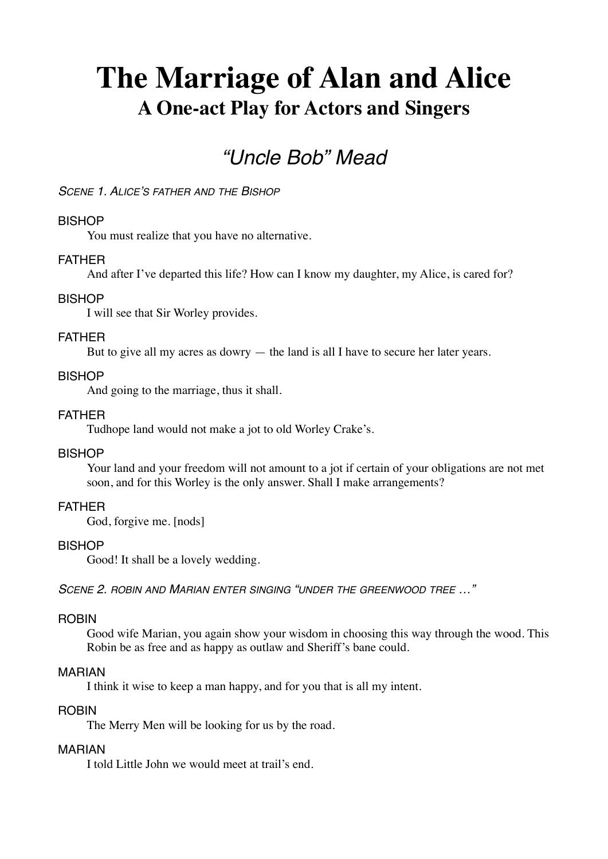# **The Marriage of Alan and Alice A One-act Play for Actors and Singers**

# *"Uncle Bob" Mead*

*SCENE 1. ALICE'S FATHER AND THE BISHOP*

# **BISHOP**

You must realize that you have no alternative.

#### FATHER

And after I've departed this life? How can I know my daughter, my Alice, is cared for?

#### **BISHOP**

I will see that Sir Worley provides.

#### FATHER

But to give all my acres as dowry — the land is all I have to secure her later years.

#### **BISHOP**

And going to the marriage, thus it shall.

# FATHER

Tudhope land would not make a jot to old Worley Crake's.

# **BISHOP**

Your land and your freedom will not amount to a jot if certain of your obligations are not met soon, and for this Worley is the only answer. Shall I make arrangements?

#### FATHER

God, forgive me. [nods]

#### **BISHOP**

Good! It shall be a lovely wedding.

*SCENE 2. ROBIN AND MARIAN ENTER SINGING "UNDER THE GREENWOOD TREE …"*

#### **ROBIN**

Good wife Marian, you again show your wisdom in choosing this way through the wood. This Robin be as free and as happy as outlaw and Sheriff's bane could.

#### MARIAN

I think it wise to keep a man happy, and for you that is all my intent.

#### **ROBIN**

The Merry Men will be looking for us by the road.

#### MARIAN

I told Little John we would meet at trail's end.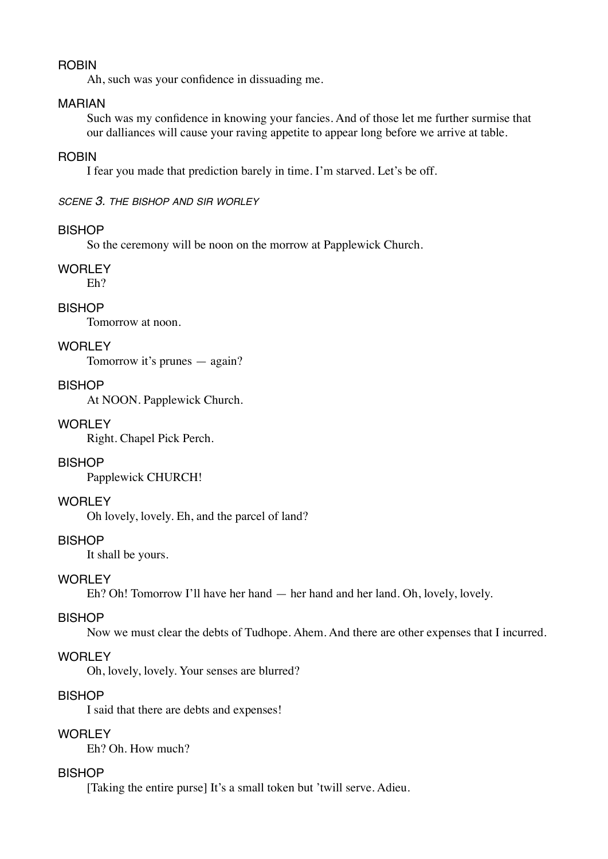#### ROBIN

Ah, such was your confidence in dissuading me.

# MARIAN

Such was my confidence in knowing your fancies. And of those let me further surmise that our dalliances will cause your raving appetite to appear long before we arrive at table.

# ROBIN

I fear you made that prediction barely in time. I'm starved. Let's be off.

*SCENE 3. THE BISHOP AND SIR WORLEY*

#### BISHOP

So the ceremony will be noon on the morrow at Papplewick Church.

#### WORLEY

Eh?

# **BISHOP**

Tomorrow at noon.

# WORLEY

Tomorrow it's prunes — again?

## **BISHOP**

At NOON. Papplewick Church.

#### WORLEY

Right. Chapel Pick Perch.

# **BISHOP**

Papplewick CHURCH!

#### **WORLEY**

Oh lovely, lovely. Eh, and the parcel of land?

#### BISHOP

It shall be yours.

#### WORLEY

Eh? Oh! Tomorrow I'll have her hand — her hand and her land. Oh, lovely, lovely.

#### BISHOP

Now we must clear the debts of Tudhope. Ahem. And there are other expenses that I incurred.

#### WORLEY

Oh, lovely, lovely. Your senses are blurred?

# BISHOP

I said that there are debts and expenses!

#### **WORLEY**

Eh? Oh. How much?

# **BISHOP**

[Taking the entire purse] It's a small token but 'twill serve. Adieu.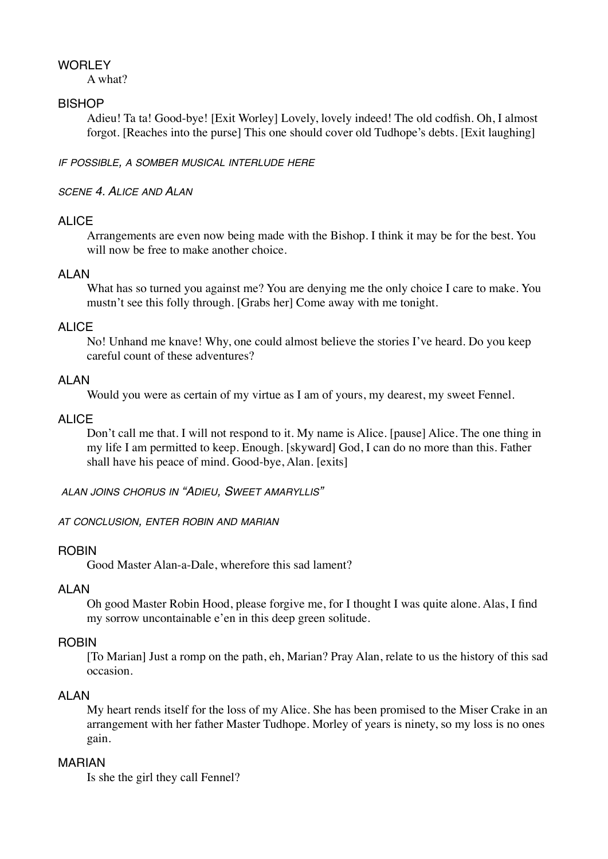# **WORLEY**

A what?

# **BISHOP**

Adieu! Ta ta! Good-bye! [Exit Worley] Lovely, lovely indeed! The old codfish. Oh, I almost forgot. [Reaches into the purse] This one should cover old Tudhope's debts. [Exit laughing]

*IF POSSIBLE, A SOMBER MUSICAL INTERLUDE HERE*

# *SCENE 4. ALICE AND ALAN*

# ALICE

Arrangements are even now being made with the Bishop. I think it may be for the best. You will now be free to make another choice.

# ALAN

What has so turned you against me? You are denying me the only choice I care to make. You mustn't see this folly through. [Grabs her] Come away with me tonight.

# ALIC<sub>E</sub>

No! Unhand me knave! Why, one could almost believe the stories I've heard. Do you keep careful count of these adventures?

# **ALAN**

Would you were as certain of my virtue as I am of yours, my dearest, my sweet Fennel.

# ALIC<sub>E</sub>

Don't call me that. I will not respond to it. My name is Alice. [pause] Alice. The one thing in my life I am permitted to keep. Enough. [skyward] God, I can do no more than this. Father shall have his peace of mind. Good-bye, Alan. [exits]

*ALAN JOINS CHORUS IN "ADIEU, SWEET AMARYLLIS"*

*AT CONCLUSION, ENTER ROBIN AND MARIAN*

# ROBIN

Good Master Alan-a-Dale, wherefore this sad lament?

# **ALAN**

Oh good Master Robin Hood, please forgive me, for I thought I was quite alone. Alas, I find my sorrow uncontainable e'en in this deep green solitude.

# ROBIN

[To Marian] Just a romp on the path, eh, Marian? Pray Alan, relate to us the history of this sad occasion.

# **ALAN**

My heart rends itself for the loss of my Alice. She has been promised to the Miser Crake in an arrangement with her father Master Tudhope. Morley of years is ninety, so my loss is no ones gain.

#### MARIAN

Is she the girl they call Fennel?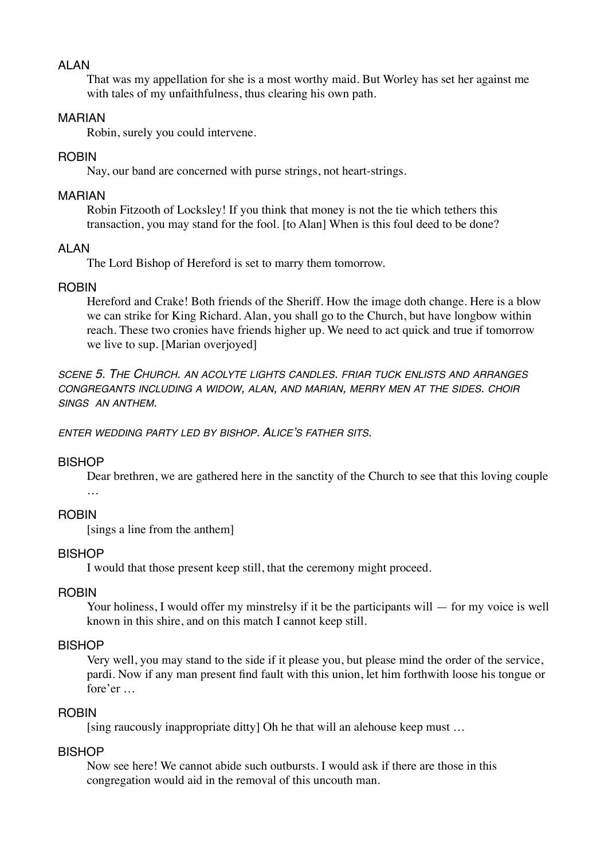# ALAN

That was my appellation for she is a most worthy maid. But Worley has set her against me with tales of my unfaithfulness, thus clearing his own path.

# MARIAN

Robin, surely you could intervene.

# ROBIN

Nay, our band are concerned with purse strings, not heart-strings.

# MARIAN

Robin Fitzooth of Locksley! If you think that money is not the tie which tethers this transaction, you may stand for the fool. [to Alan] When is this foul deed to be done?

# ALAN

The Lord Bishop of Hereford is set to marry them tomorrow.

# **ROBIN**

Hereford and Crake! Both friends of the Sheriff. How the image doth change. Here is a blow we can strike for King Richard. Alan, you shall go to the Church, but have longbow within reach. These two cronies have friends higher up. We need to act quick and true if tomorrow we live to sup. [Marian overjoyed]

*SCENE 5. THE CHURCH. AN ACOLYTE LIGHTS CANDLES. FRIAR TUCK ENLISTS AND ARRANGES CONGREGANTS INCLUDING A WIDOW, ALAN, AND MARIAN, MERRY MEN AT THE SIDES. CHOIR SINGS AN ANTHEM.*

*ENTER WEDDING PARTY LED BY BISHOP. ALICE'S FATHER SITS.*

# BISHOP

Dear brethren, we are gathered here in the sanctity of the Church to see that this loving couple …

# ROBIN

[sings a line from the anthem]

# **BISHOP**

I would that those present keep still, that the ceremony might proceed.

# ROBIN

Your holiness, I would offer my minstrelsy if it be the participants will — for my voice is well known in this shire, and on this match I cannot keep still.

# BISHOP

Very well, you may stand to the side if it please you, but please mind the order of the service, pardi. Now if any man present find fault with this union, let him forthwith loose his tongue or fore'er …

# ROBIN

[sing raucously inappropriate ditty] Oh he that will an alehouse keep must ...

# **BISHOP**

Now see here! We cannot abide such outbursts. I would ask if there are those in this congregation would aid in the removal of this uncouth man.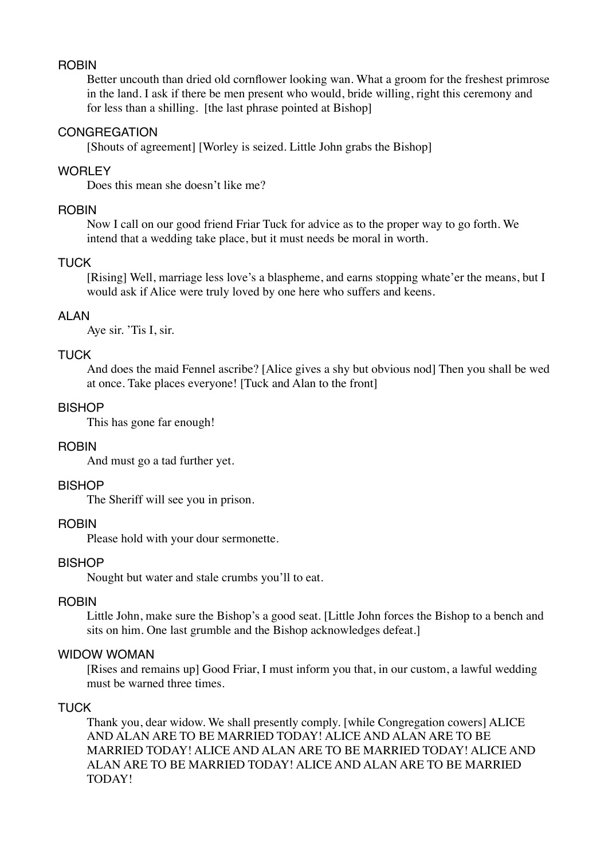#### ROBIN

Better uncouth than dried old cornflower looking wan. What a groom for the freshest primrose in the land. I ask if there be men present who would, bride willing, right this ceremony and for less than a shilling. [the last phrase pointed at Bishop]

# **CONGREGATION**

[Shouts of agreement] [Worley is seized. Little John grabs the Bishop]

# **WORLEY**

Does this mean she doesn't like me?

# **ROBIN**

Now I call on our good friend Friar Tuck for advice as to the proper way to go forth. We intend that a wedding take place, but it must needs be moral in worth.

# TUCK

[Rising] Well, marriage less love's a blaspheme, and earns stopping whate'er the means, but I would ask if Alice were truly loved by one here who suffers and keens.

# ALAN

Aye sir. 'Tis I, sir.

# **TUCK**

And does the maid Fennel ascribe? [Alice gives a shy but obvious nod] Then you shall be wed at once. Take places everyone! [Tuck and Alan to the front]

# BISHOP

This has gone far enough!

#### **ROBIN**

And must go a tad further yet.

# **BISHOP**

The Sheriff will see you in prison.

# ROBIN

Please hold with your dour sermonette.

#### BISHOP

Nought but water and stale crumbs you'll to eat.

#### **ROBIN**

Little John, make sure the Bishop's a good seat. [Little John forces the Bishop to a bench and sits on him. One last grumble and the Bishop acknowledges defeat.]

# WIDOW WOMAN

[Rises and remains up] Good Friar, I must inform you that, in our custom, a lawful wedding must be warned three times.

#### TUCK

Thank you, dear widow. We shall presently comply. [while Congregation cowers] ALICE AND ALAN ARE TO BE MARRIED TODAY! ALICE AND ALAN ARE TO BE MARRIED TODAY! ALICE AND ALAN ARE TO BE MARRIED TODAY! ALICE AND ALAN ARE TO BE MARRIED TODAY! ALICE AND ALAN ARE TO BE MARRIED TODAY!